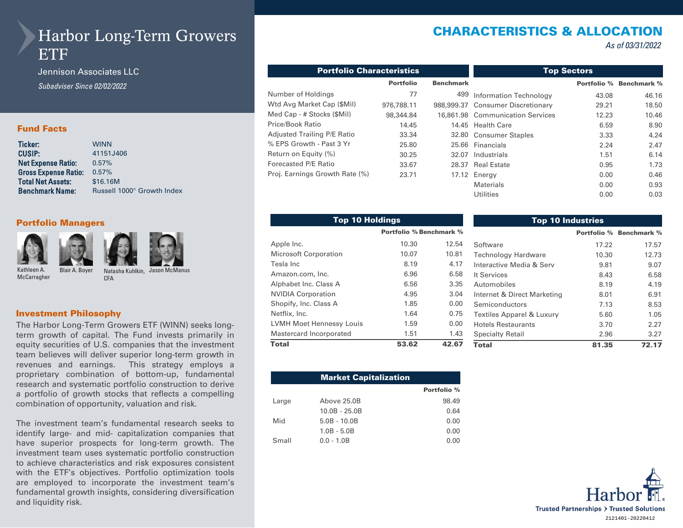# Harbor Long-Term Growers **ETF**

Jennison Associates LLC *Subadviser Since 02/02/2022* 

### Fund Facts

| Ticker:                     | <b>WINN</b>                            |
|-----------------------------|----------------------------------------|
| CUSIP:                      | 41151J406                              |
| Net Expense Ratio:          | 0.57%                                  |
| <b>Gross Expense Ratio:</b> | 0.57%                                  |
| <b>Total Net Assets:</b>    | \$16,16M                               |
| <b>Benchmark Name:</b>      | Russell 1000 <sup>®</sup> Growth Index |
|                             |                                        |

#### Portfolio Managers









Kathleen A. **McCarragher** 

Blair A. Boyer Natasha Kuhlkin, Jason McManus CFA

#### Investment Philosophy

The Harbor Long-Term Growers ETF (WINN) seeks longterm growth of capital. The Fund invests primarily in equity securities of U.S. companies that the investment team believes will deliver superior long-term growth in revenues and earnings. This strategy employs a proprietary combination of bottom-up, fundamental research and systematic portfolio construction to derive a portfolio of growth stocks that reflects a compelling combination of opportunity, valuation and risk.

The investment team's fundamental research seeks to identify large- and mid- capitalization companies that have superior prospects for long-term growth. The investment team uses systematic portfolio construction to achieve characteristics and risk exposures consistent with the ETF's objectives. Portfolio optimization tools are employed to incorporate the investment team's fundamental growth insights, considering diversification and liquidity risk.

# CHARACTERISTICS & ALLOCATION

*As of 03/31/2022* 

| <b>Portfolio Characteristics</b> |                                      | <b>Top Sectors</b> |                                   |             |                    |  |
|----------------------------------|--------------------------------------|--------------------|-----------------------------------|-------------|--------------------|--|
|                                  | <b>Portfolio</b><br><b>Benchmark</b> |                    |                                   | Portfolio % | <b>Benchmark %</b> |  |
| Number of Holdings               | 77                                   | 499                | <b>Information Technology</b>     | 43.08       | 46.16              |  |
| Wtd Avg Market Cap (\$Mil)       | 976,788.11                           |                    | 988,999.37 Consumer Discretionary | 29.21       | 18.50              |  |
| Med Cap - # Stocks (\$Mil)       | 98,344.84                            |                    | 16.861.98 Communication Services  | 12.23       | 10.46              |  |
| Price/Book Ratio                 | 14.45                                |                    | 14.45 Health Care                 | 6.59        | 8.90               |  |
| Adjusted Trailing P/E Ratio      | 33.34                                |                    | 32.80 Consumer Staples            | 3.33        | 4.24               |  |
| % EPS Growth - Past 3 Yr         | 25.80                                |                    | 25.66 Financials                  | 2.24        | 2.47               |  |
| Return on Equity (%)             | 30.25                                | 32.07              | Industrials                       | 1.51        | 6.14               |  |
| Forecasted P/E Ratio             | 33.67                                | 28.37              | <b>Real Estate</b>                | 0.95        | 1.73               |  |
| Proj. Earnings Growth Rate (%)   | 23.71                                |                    | 17.12 Energy                      | 0.00        | 0.46               |  |
|                                  |                                      |                    | Materials                         | 0.00        | 0.93               |  |
|                                  |                                      |                    | Utilities                         | 0.00        | 0.03               |  |

| <b>Top 10 Holdings</b>          |                         |       |                 |  |
|---------------------------------|-------------------------|-------|-----------------|--|
|                                 | Portfolio % Benchmark % |       |                 |  |
| Apple Inc.                      | 10.30                   | 12.54 | Softwar         |  |
| <b>Microsoft Corporation</b>    | 10.07                   | 10.81 | Technol         |  |
| Tesla Inc                       | 8.19                    | 4.17  | Interacti       |  |
| Amazon.com, Inc.                | 6.96                    | 6.58  | It Servic       |  |
| Alphabet Inc. Class A           | 6.56                    | 3.35  | Automo          |  |
| <b>NVIDIA Corporation</b>       | 4.95                    | 3.04  | Internet        |  |
| Shopify, Inc. Class A           | 1.85                    | 0.00  | Semico          |  |
| Netflix, Inc.                   | 1.64                    | 0.75  | <b>Textiles</b> |  |
| <b>LVMH Moet Hennessy Louis</b> | 1.59                    | 0.00  | Hotels F        |  |
| Mastercard Incorporated         | 1.51                    | 1.43  | Specialt        |  |
| <b>Total</b>                    | 53.62                   | 42.67 | Total           |  |

| <b>Top 10 Industries</b>    |       |                                |  |  |
|-----------------------------|-------|--------------------------------|--|--|
|                             |       | <b>Portfolio % Benchmark %</b> |  |  |
| Software                    | 17.22 | 17.57                          |  |  |
| <b>Technology Hardware</b>  | 10.30 | 12.73                          |  |  |
| Interactive Media & Serv    | 9.81  | 9.07                           |  |  |
| It Services                 | 8.43  | 6.58                           |  |  |
| Automobiles                 | 8.19  | 4.19                           |  |  |
| Internet & Direct Marketing | 8.01  | 6.91                           |  |  |
| Semiconductors              | 7.13  | 8.53                           |  |  |
| Textiles Apparel & Luxury   | 5.60  | 1.05                           |  |  |
| Hotels Restaurants          | 3.70  | 2.27                           |  |  |
| <b>Specialty Retail</b>     | 2.96  | 3.27                           |  |  |
| Total                       | 81.35 | 72.17                          |  |  |

|       | <b>Market Capitalization</b> |             |
|-------|------------------------------|-------------|
|       |                              | Portfolio % |
| Large | Above 25.0B                  | 98.49       |
|       | $10.0B - 25.0B$              | 0.64        |
| Mid   | $5.0B - 10.0B$               | 0.00        |
|       | $1.0B - 5.0B$                | 0.00        |
| Small | $0.0 - 1.0B$                 | 0.00        |

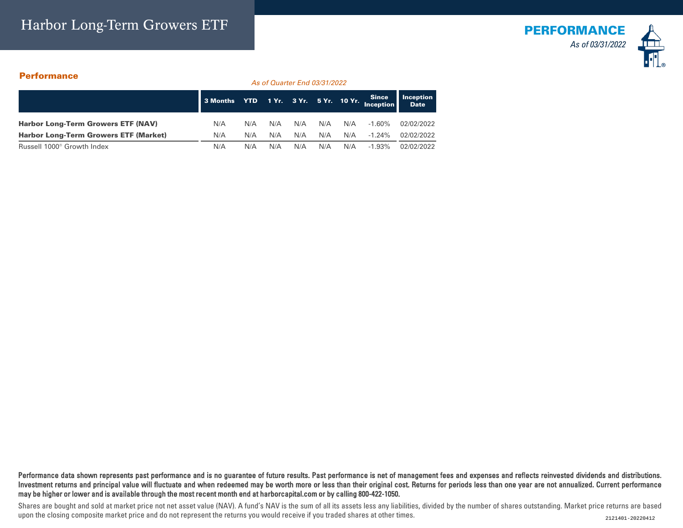# Harbor Long-Term Growers ETF



### **Performance**

*As of Quarter End 03/31/2022*

|                                              | 3 Months YTD 1 Yr. 3 Yr. 5 Yr. 10 Yr. Since |     |     |     |     |     |           | Inception<br><b>Date</b> |
|----------------------------------------------|---------------------------------------------|-----|-----|-----|-----|-----|-----------|--------------------------|
| <b>Harbor Long-Term Growers ETF (NAV)</b>    | N/A                                         | N/A | N/A | N/A | N/A | N/A | $-1.60\%$ | 02/02/2022               |
| <b>Harbor Long-Term Growers ETF (Market)</b> | N/A                                         | N/A | N/A | N/A | N/A | N/A | $-1.24\%$ | 02/02/2022               |
| Russell 1000 <sup>®</sup> Growth Index       | N/A                                         | N/A | N/A | N/A | N/A | N/A | $-1.93\%$ | 02/02/2022               |

Performance data shown represents past performance and is no guarantee of future results. Past performance is net of management fees and expenses and reflects reinvested dividends and distributions. Investment returns and principal value will fluctuate and when redeemed may be worth more or less than their original cost. Returns for periods less than one year are not annualized. Current performance may be higher or lower and is available through the most recent month end at harborcapital.com or by calling 800-422-1050.

Shares are bought and sold at market price not net asset value (NAV). A fund's NAV is the sum of all its assets less any liabilities, divided by the number of shares outstanding. Market price returns are based upon the closing composite market price and do not represent the returns you would receive if you traded shares at other times.